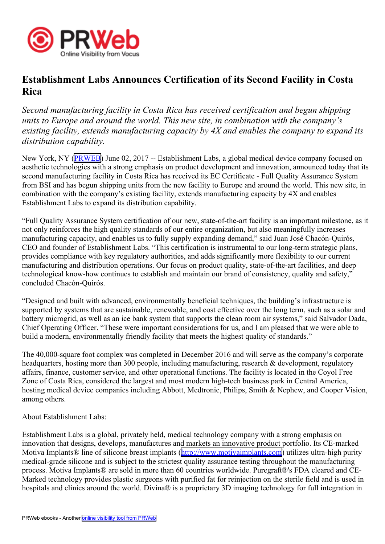

## **Establishment Labs Announces Certification of its Second Facility in Costa Rica**

*Second manufacturing facility in Costa Rica has received certification and begun shipping units to Europe and around the world. This new site, in combination with the company's existing facility, extends manufacturing capacity by 4X and enables the company to expand its distribution capability.*

New York, NY ([PRWEB](http://www.prweb.com)) June 02, 2017 -- Establishment Labs, a global medical device company focused on aesthetic technologies with <sup>a</sup> strong emphasis on product development and innovation, announced today that its second manufacturing facility in Costa Rica has received its EC Certificate - Full Quality Assurance System from BSI and has begun shipping units from the new facility to Europe and around the world. This new site, in combination with the company's existing facility, extends manufacturing capacity by 4X and enables Establishment Labs to expand its distribution capability.

"Full Quality Assurance System certification of our new, state-of-the-art facility is an important milestone, as it not only reinforces the high quality standards of our entire organization, but also meaningfully increases manufacturing capacity, and enables us to fully supply expanding demand," said Juan José Chacón-Quirós, CEO and founder of Establishment Labs. "This certification is instrumental to our long-term strategic plans, provides compliance with key regulatory authorities, and adds significantly more flexibility to our current manufacturing and distribution operations. Our focus on product quality, state-of-the-art facilities, and deep technological know-how continues to establish and maintain our brand of consistency, quality and safety," concluded Chacón-Quirós.

"Designed and built with advanced, environmentally beneficial techniques, the building's infrastructure is supported by systems that are sustainable, renewable, and cost effective over the long term, such as <sup>a</sup> solar and battery microgrid, as well as an ice bank system that supports the clean room air systems," said Salvador Dada, Chief Operating Officer. "These were important considerations for us, and I am pleased that we were able to build a modern, environmentally friendly facility that meets the highest quality of standards."

The 40,000-square foot complex was completed in December 2016 and will serve as the company's corporate headquarters, hosting more than 300 people, including manufacturing, research & development, regulatory affairs, finance, customer service, and other operational functions. The facility is located in the Coyol Free Zone of Costa Rica, considered the largest and most modern high-tech business park in Central America, hosting medical device companies including Abbott, Medtronic, Philips, Smith & Nephew, and Cooper Vision, among others.

About Establishment Labs:

Establishment Labs is <sup>a</sup> global, privately held, medical technology company with <sup>a</sup> strong emphasis on innovation that designs, develops, manufactures and markets an innovative product portfolio. Its CE-marked Motiva Implants® line of silicone breast implants (<http://www.motivaimplants.com>) utilizes ultra-high purity medical-grade silicone and is subject to the strictest quality assurance testing throughout the manufacturing process. Motiva Implants® are sold in more than 60 countries worldwide. Puregraft®'s FDA cleared and CE-Marked technology provides plastic surgeons with purified fat for reinjection on the sterile field and is used in hospitals and clinics around the world. Divina® is a proprietary 3D imaging technology for full integration in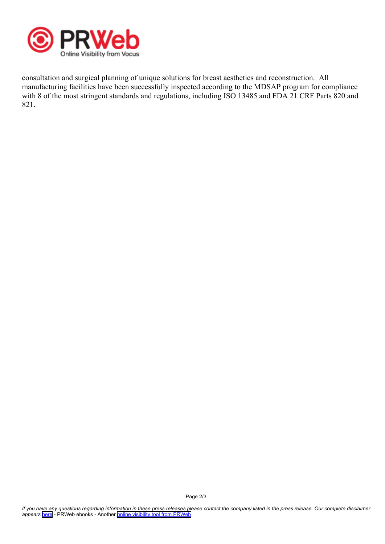

consultation and surgical planning of unique solutions for breast aesthetics and reconstruction. All manufacturing facilities have been successfully inspected according to the MDSAP program for compliance with 8 of the most stringent standards and regulations, including ISO 13485 and FDA 21 CRF Parts 820 and 821.